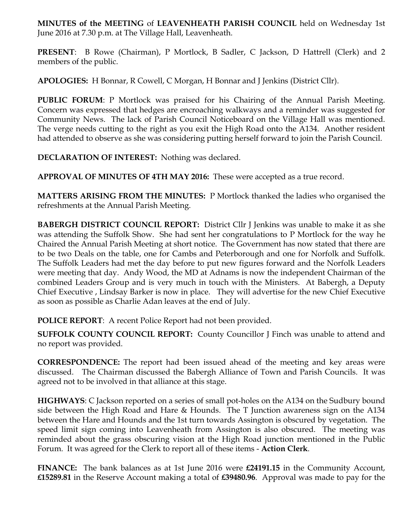**MINUTES of the MEETING** of **LEAVENHEATH PARISH COUNCIL** held on Wednesday 1st June 2016 at 7.30 p.m. at The Village Hall, Leavenheath.

**PRESENT**: B Rowe (Chairman), P Mortlock, B Sadler, C Jackson, D Hattrell (Clerk) and 2 members of the public.

**APOLOGIES:** H Bonnar, R Cowell, C Morgan, H Bonnar and J Jenkins (District Cllr).

**PUBLIC FORUM**: P Mortlock was praised for his Chairing of the Annual Parish Meeting. Concern was expressed that hedges are encroaching walkways and a reminder was suggested for Community News. The lack of Parish Council Noticeboard on the Village Hall was mentioned. The verge needs cutting to the right as you exit the High Road onto the A134. Another resident had attended to observe as she was considering putting herself forward to join the Parish Council.

**DECLARATION OF INTEREST:** Nothing was declared.

**APPROVAL OF MINUTES OF 4TH MAY 2016:** These were accepted as a true record.

**MATTERS ARISING FROM THE MINUTES:** P Mortlock thanked the ladies who organised the refreshments at the Annual Parish Meeting.

**BABERGH DISTRICT COUNCIL REPORT:** District Cllr J Jenkins was unable to make it as she was attending the Suffolk Show. She had sent her congratulations to P Mortlock for the way he Chaired the Annual Parish Meeting at short notice. The Government has now stated that there are to be two Deals on the table, one for Cambs and Peterborough and one for Norfolk and Suffolk. The Suffolk Leaders had met the day before to put new figures forward and the Norfolk Leaders were meeting that day. Andy Wood, the MD at Adnams is now the independent Chairman of the combined Leaders Group and is very much in touch with the Ministers. At Babergh, a Deputy Chief Executive , Lindsay Barker is now in place. They will advertise for the new Chief Executive as soon as possible as Charlie Adan leaves at the end of July.

**POLICE REPORT**: A recent Police Report had not been provided.

**SUFFOLK COUNTY COUNCIL REPORT:** County Councillor J Finch was unable to attend and no report was provided.

**CORRESPONDENCE:** The report had been issued ahead of the meeting and key areas were discussed. The Chairman discussed the Babergh Alliance of Town and Parish Councils. It was agreed not to be involved in that alliance at this stage.

**HIGHWAYS**: C Jackson reported on a series of small pot-holes on the A134 on the Sudbury bound side between the High Road and Hare & Hounds. The T Junction awareness sign on the A134 between the Hare and Hounds and the 1st turn towards Assington is obscured by vegetation. The speed limit sign coming into Leavenheath from Assington is also obscured. The meeting was reminded about the grass obscuring vision at the High Road junction mentioned in the Public Forum. It was agreed for the Clerk to report all of these items - **Action Clerk**.

**FINANCE:** The bank balances as at 1st June 2016 were **£24191.15** in the Community Account, **£15289.81** in the Reserve Account making a total of **£39480.96**. Approval was made to pay for the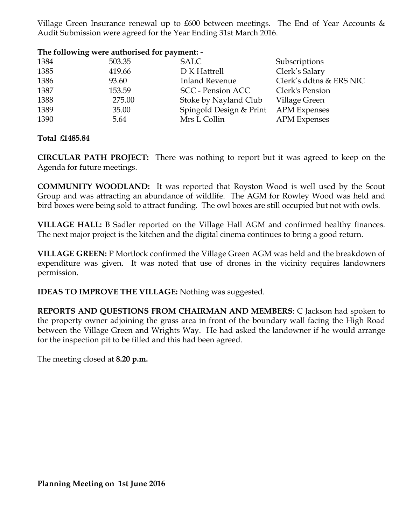Village Green Insurance renewal up to  $£600$  between meetings. The End of Year Accounts  $&$ Audit Submission were agreed for the Year Ending 31st March 2016.

## **The following were authorised for payment: -**

| 1384 | 503.35 | <b>SALC</b>              | Subscriptions           |
|------|--------|--------------------------|-------------------------|
| 1385 | 419.66 | D K Hattrell             | Clerk's Salary          |
| 1386 | 93.60  | Inland Revenue           | Clerk's ddtns & ERS NIC |
| 1387 | 153.59 | <b>SCC</b> - Pension ACC | Clerk's Pension         |
| 1388 | 275.00 | Stoke by Nayland Club    | Village Green           |
| 1389 | 35.00  | Spingold Design & Print  | <b>APM Expenses</b>     |
| 1390 | 5.64   | Mrs L Collin             | <b>APM</b> Expenses     |
|      |        |                          |                         |

**Total £1485.84**

**CIRCULAR PATH PROJECT:** There was nothing to report but it was agreed to keep on the Agenda for future meetings.

**COMMUNITY WOODLAND:** It was reported that Royston Wood is well used by the Scout Group and was attracting an abundance of wildlife. The AGM for Rowley Wood was held and bird boxes were being sold to attract funding. The owl boxes are still occupied but not with owls.

**VILLAGE HALL:** B Sadler reported on the Village Hall AGM and confirmed healthy finances. The next major project is the kitchen and the digital cinema continues to bring a good return.

**VILLAGE GREEN:** P Mortlock confirmed the Village Green AGM was held and the breakdown of expenditure was given. It was noted that use of drones in the vicinity requires landowners permission.

**IDEAS TO IMPROVE THE VILLAGE:** Nothing was suggested.

**REPORTS AND QUESTIONS FROM CHAIRMAN AND MEMBERS**: C Jackson had spoken to the property owner adjoining the grass area in front of the boundary wall facing the High Road between the Village Green and Wrights Way. He had asked the landowner if he would arrange for the inspection pit to be filled and this had been agreed.

The meeting closed at **8.20 p.m.**